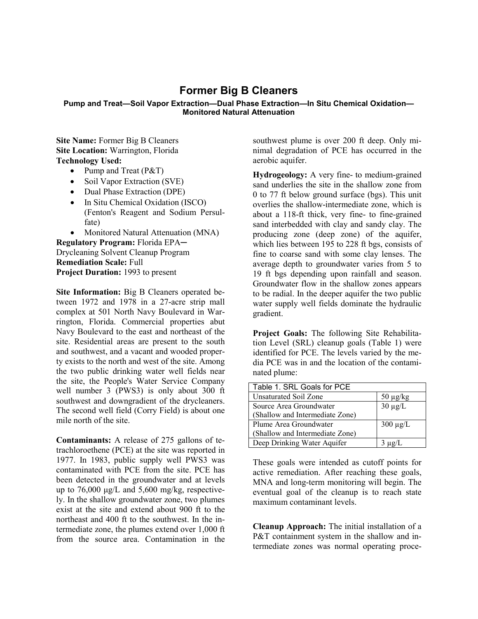## **Former Big B Cleaners**

## **Pump and Treat—Soil Vapor Extraction—Dual Phase Extraction—In Situ Chemical Oxidation— Monitored Natural Attenuation**

**Site Name:** Former Big B Cleaners **Site Location:** Warrington, Florida **Technology Used:**

- Pump and Treat (P&T)
- Soil Vapor Extraction (SVE)
- Dual Phase Extraction (DPE)
- In Situ Chemical Oxidation (ISCO) (Fenton's Reagent and Sodium Persulfate)
- Monitored Natural Attenuation (MNA)

**Regulatory Program:** Florida EPA─ Drycleaning Solvent Cleanup Program **Remediation Scale:** Full **Project Duration:** 1993 to present

**Site Information:** Big B Cleaners operated between 1972 and 1978 in a 27-acre strip mall complex at 501 North Navy Boulevard in Warrington, Florida. Commercial properties abut Navy Boulevard to the east and northeast of the site. Residential areas are present to the south and southwest, and a vacant and wooded property exists to the north and west of the site. Among the two public drinking water well fields near the site, the People's Water Service Company well number 3 (PWS3) is only about 300 ft southwest and downgradient of the drycleaners. The second well field (Corry Field) is about one mile north of the site.

**Contaminants:** A release of 275 gallons of tetrachloroethene (PCE) at the site was reported in 1977. In 1983, public supply well PWS3 was contaminated with PCE from the site. PCE has been detected in the groundwater and at levels up to 76,000 μg/L and 5,600 mg/kg, respectively. In the shallow groundwater zone, two plumes exist at the site and extend about 900 ft to the northeast and 400 ft to the southwest. In the intermediate zone, the plumes extend over 1,000 ft from the source area. Contamination in the

southwest plume is over 200 ft deep. Only minimal degradation of PCE has occurred in the aerobic aquifer.

**Hydrogeology:** A very fine- to medium-grained sand underlies the site in the shallow zone from 0 to 77 ft below ground surface (bgs). This unit overlies the shallow-intermediate zone, which is about a 118-ft thick, very fine- to fine-grained sand interbedded with clay and sandy clay. The producing zone (deep zone) of the aquifer, which lies between 195 to 228 ft bgs, consists of fine to coarse sand with some clay lenses. The average depth to groundwater varies from 5 to 19 ft bgs depending upon rainfall and season. Groundwater flow in the shallow zones appears to be radial. In the deeper aquifer the two public water supply well fields dominate the hydraulic gradient.

**Project Goals:** The following Site Rehabilitation Level (SRL) cleanup goals (Table 1) were identified for PCE. The levels varied by the media PCE was in and the location of the contaminated plume:

| Table 1. SRL Goals for PCE      |               |
|---------------------------------|---------------|
| Unsaturated Soil Zone           | $50 \mu g/kg$ |
| Source Area Groundwater         | $30 \mu g/L$  |
| (Shallow and Intermediate Zone) |               |
| Plume Area Groundwater          | $300 \mu g/L$ |
| (Shallow and Intermediate Zone) |               |
| Deep Drinking Water Aquifer     | $3 \mu g/L$   |

These goals were intended as cutoff points for active remediation. After reaching these goals, MNA and long-term monitoring will begin. The eventual goal of the cleanup is to reach state maximum contaminant levels.

**Cleanup Approach:** The initial installation of a P&T containment system in the shallow and intermediate zones was normal operating proce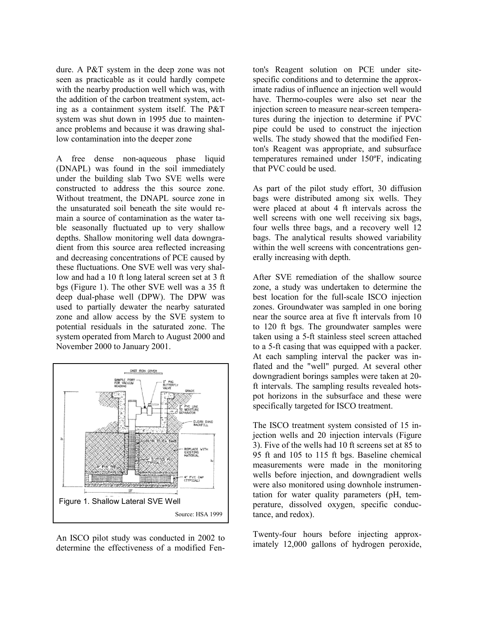dure. A P&T system in the deep zone was not seen as practicable as it could hardly compete with the nearby production well which was, with the addition of the carbon treatment system, acting as a containment system itself. The P&T system was shut down in 1995 due to maintenance problems and because it was drawing shallow contamination into the deeper zone

A free dense non-aqueous phase liquid (DNAPL) was found in the soil immediately under the building slab Two SVE wells were constructed to address the this source zone. Without treatment, the DNAPL source zone in the unsaturated soil beneath the site would remain a source of contamination as the water table seasonally fluctuated up to very shallow depths. Shallow monitoring well data downgradient from this source area reflected increasing and decreasing concentrations of PCE caused by these fluctuations. One SVE well was very shallow and had a 10 ft long lateral screen set at 3 ft bgs (Figure 1). The other SVE well was a 35 ft deep dual-phase well (DPW). The DPW was used to partially dewater the nearby saturated zone and allow access by the SVE system to potential residuals in the saturated zone. The system operated from March to August 2000 and November 2000 to January 2001.



An ISCO pilot study was conducted in 2002 to determine the effectiveness of a modified Fen-

ton's Reagent solution on PCE under sitespecific conditions and to determine the approximate radius of influence an injection well would have. Thermo-couples were also set near the injection screen to measure near-screen temperatures during the injection to determine if PVC pipe could be used to construct the injection wells. The study showed that the modified Fenton's Reagent was appropriate, and subsurface temperatures remained under 150ºF, indicating that PVC could be used.

As part of the pilot study effort, 30 diffusion bags were distributed among six wells. They were placed at about 4 ft intervals across the well screens with one well receiving six bags, four wells three bags, and a recovery well 12 bags. The analytical results showed variability within the well screens with concentrations generally increasing with depth.

After SVE remediation of the shallow source zone, a study was undertaken to determine the best location for the full-scale ISCO injection zones. Groundwater was sampled in one boring near the source area at five ft intervals from 10 to 120 ft bgs. The groundwater samples were taken using a 5-ft stainless steel screen attached to a 5-ft casing that was equipped with a packer. At each sampling interval the packer was inflated and the "well" purged. At several other downgradient borings samples were taken at 20 ft intervals. The sampling results revealed hotspot horizons in the subsurface and these were specifically targeted for ISCO treatment.

The ISCO treatment system consisted of 15 injection wells and 20 injection intervals (Figure 3). Five of the wells had 10 ft screens set at 85 to 95 ft and 105 to 115 ft bgs. Baseline chemical measurements were made in the monitoring wells before injection, and downgradient wells were also monitored using downhole instrumentation for water quality parameters (pH, temperature, dissolved oxygen, specific conductance, and redox).

Twenty-four hours before injecting approximately 12,000 gallons of hydrogen peroxide,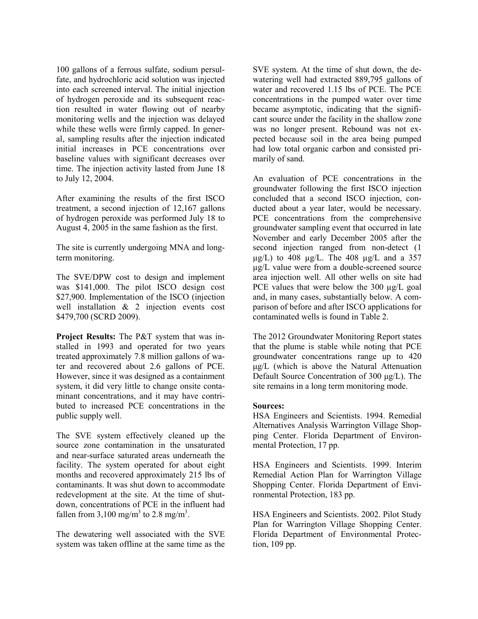100 gallons of a ferrous sulfate, sodium persulfate, and hydrochloric acid solution was injected into each screened interval. The initial injection of hydrogen peroxide and its subsequent reaction resulted in water flowing out of nearby monitoring wells and the injection was delayed while these wells were firmly capped. In general, sampling results after the injection indicated initial increases in PCE concentrations over baseline values with significant decreases over time. The injection activity lasted from June 18 to July 12, 2004.

After examining the results of the first ISCO treatment, a second injection of 12,167 gallons of hydrogen peroxide was performed July 18 to August 4, 2005 in the same fashion as the first.

The site is currently undergoing MNA and longterm monitoring.

The SVE/DPW cost to design and implement was \$141,000. The pilot ISCO design cost \$27,900. Implementation of the ISCO (injection well installation & 2 injection events cost \$479,700 (SCRD 2009).

**Project Results:** The P&T system that was installed in 1993 and operated for two years treated approximately 7.8 million gallons of water and recovered about 2.6 gallons of PCE. However, since it was designed as a containment system, it did very little to change onsite contaminant concentrations, and it may have contributed to increased PCE concentrations in the public supply well.

The SVE system effectively cleaned up the source zone contamination in the unsaturated and near-surface saturated areas underneath the facility. The system operated for about eight months and recovered approximately 215 lbs of contaminants. It was shut down to accommodate redevelopment at the site. At the time of shutdown, concentrations of PCE in the influent had fallen from 3,100 mg/m<sup>3</sup> to 2.8 mg/m<sup>3</sup>.

The dewatering well associated with the SVE system was taken offline at the same time as the SVE system. At the time of shut down, the dewatering well had extracted 889,795 gallons of water and recovered 1.15 lbs of PCE. The PCE concentrations in the pumped water over time became asymptotic, indicating that the significant source under the facility in the shallow zone was no longer present. Rebound was not expected because soil in the area being pumped had low total organic carbon and consisted primarily of sand.

An evaluation of PCE concentrations in the groundwater following the first ISCO injection concluded that a second ISCO injection, conducted about a year later, would be necessary. PCE concentrations from the comprehensive groundwater sampling event that occurred in late November and early December 2005 after the second injection ranged from non-detect (1  $\mu$ g/L) to 408  $\mu$ g/L. The 408  $\mu$ g/L and a 357 µg/L value were from a double-screened source area injection well. All other wells on site had PCE values that were below the 300  $\mu$ g/L goal and, in many cases, substantially below. A comparison of before and after ISCO applications for contaminated wells is found in Table 2.

The 2012 Groundwater Monitoring Report states that the plume is stable while noting that PCE groundwater concentrations range up to 420 μg/L (which is above the Natural Attenuation Default Source Concentration of 300 μg/L). The site remains in a long term monitoring mode.

## **Sources:**

HSA Engineers and Scientists. 1994. Remedial Alternatives Analysis Warrington Village Shopping Center. Florida Department of Environmental Protection, 17 pp.

HSA Engineers and Scientists. 1999. Interim Remedial Action Plan for Warrington Village Shopping Center. Florida Department of Environmental Protection, 183 pp.

HSA Engineers and Scientists. 2002. Pilot Study Plan for Warrington Village Shopping Center. Florida Department of Environmental Protection, 109 pp.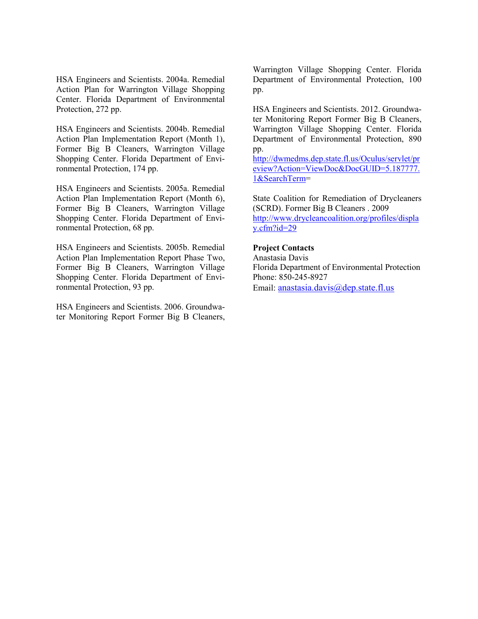HSA Engineers and Scientists. 2004a. Remedial Action Plan for Warrington Village Shopping Center. Florida Department of Environmental Protection, 272 pp.

HSA Engineers and Scientists. 2004b. Remedial Action Plan Implementation Report (Month 1), Former Big B Cleaners, Warrington Village Shopping Center. Florida Department of Environmental Protection, 174 pp.

HSA Engineers and Scientists. 2005a. Remedial Action Plan Implementation Report (Month 6), Former Big B Cleaners, Warrington Village Shopping Center. Florida Department of Environmental Protection, 68 pp.

HSA Engineers and Scientists. 2005b. Remedial Action Plan Implementation Report Phase Two, Former Big B Cleaners, Warrington Village Shopping Center. Florida Department of Environmental Protection, 93 pp.

HSA Engineers and Scientists. 2006. Groundwater Monitoring Report Former Big B Cleaners,

Warrington Village Shopping Center. Florida Department of Environmental Protection, 100 pp.

HSA Engineers and Scientists. 2012. Groundwater Monitoring Report Former Big B Cleaners, Warrington Village Shopping Center. Florida Department of Environmental Protection, 890 pp.

[http://dwmedms.dep.state.fl.us/Oculus/servlet/pr](http://dwmedms.dep.state.fl.us/Oculus/servlet/preview?Action=ViewDoc&DocGUID=5.187777.1&SearchTerm) [eview?Action=ViewDoc&DocGUID=5.187777.](http://dwmedms.dep.state.fl.us/Oculus/servlet/preview?Action=ViewDoc&DocGUID=5.187777.1&SearchTerm) [1&SearchTerm=](http://dwmedms.dep.state.fl.us/Oculus/servlet/preview?Action=ViewDoc&DocGUID=5.187777.1&SearchTerm)

State Coalition for Remediation of Drycleaners (SCRD). Former Big B Cleaners . 2009 [http://www.drycleancoalition.org/profiles/displa](http://www.drycleancoalition.org/profiles/display.cfm?id=29) [y.cfm?id=29](http://www.drycleancoalition.org/profiles/display.cfm?id=29)

## **Project Contacts**

Anastasia Davis Florida Department of Environmental Protection Phone: 850-245-8927 Email: [anastasia.davis@dep.state.fl.us](mailto:anastasia.davis@dep.state.fl.us)